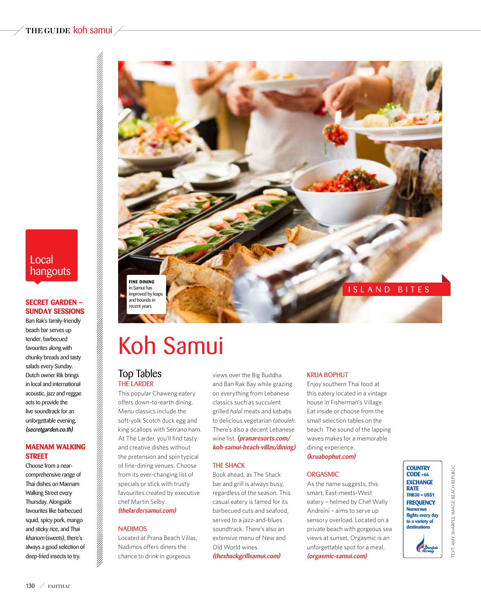### **the guide** koh samui

## Local hangouts

### **SECRET GARDEN -Sunday Sessions**

Ban Rak's family-friendly beach bar serves up tender, barbecued favourites along with chunky breads and tasty salads every Sunday. Dutch owner Rik brings in local and international acoustic, jazz and reggae acts to provide the live soundtrack for an unforgettable evening. (secretgarden.co.th)

### **Maenam Walking Street**

Choose from a nearcomprehensive range of Thai dishes on Maenam Walking Street every Thursday. Alongside favourites like barbecued squid, spicy pork, mango and sticky rice, and Thai khanom (sweets), there's always a good selection of deep-fried insects to try.



## Koh Samui

### Top Tables The Larder

This popular Chaweng eatery offers down-to-earth dining. Menu classics include the soft-yolk Scotch duck egg and king scallops with Serrano ham. At The Larder, you'll find tasty and creative dishes without the pretension and spin typical of fine-dining venues. Choose from its ever-changing list of specials or stick with trusty favourites created by executive chef Martin Selby.

## (thelardersamui.com)

### **NADIMOS**

Located at Prana Beach Villas, Nadimos offers diners the chance to drink in gorgeous

views over the Big Buddha and Ban Rak Bay while grazing on everything from Lebanese classics such as succulent grilled *halal* meats and kebabs to delicious vegetarian *tabouleh*. There's also a decent Lebanese wine list. (pranaresorts.com/ koh-samui-beach-villas/dining)

### **THE SHACK**

Book ahead, as The Shack bar and grill is always busy, regardless of the season. This casual eatery is famed for its barbecued cuts and seafood, served to a jazz-and-blues soundtrack. There's also an extensive menu of New and Old World wines.

(theshackgrillsamui.com)

### Krua Bophut

Enjoy southern Thai food at this eatery located in a vintage house in Fisherman's Village. Eat inside or choose from the small selection tables on the beach. The sound of the lapping waves makes for a memorable dining experience.

#### (kruabophut.com)

### **ORGASMIC**

As the name suggests, this smart, East-meets-West eatery – helmed by Chef Wally Andreini – aims to serve up sensory overload. Located on a private beach with gorgeous sea views at sunset, Orgasmic is an unforgettable spot for a meal. (orgasmic-samui.com)

**Country Code +66 EXCHANGE RATE THB30 = US\$1 frequency Numerous flights every day to a variety of destination** Bang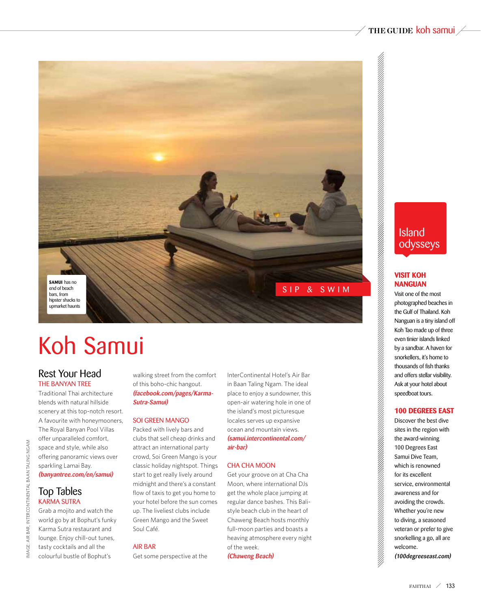

# Koh Samui

## Rest Your Head THE BANYAN TRFF

Traditional Thai architecture blends with natural hillside scenery at this top-notch resort. A favourite with honeymooners, The Royal Banyan Pool Villas offer unparalleled comfort, space and style, while also offering panoramic views over sparkling Lamai Bay. (banyantree.com/en/samui)

Grab a mojito and watch the world go by at Bophut's funky Karma Sutra restaurant and lounge. Enjoy chill-out tunes, tasty cocktails and all the colourful bustle of Bophut's

walking street from the comfort of this boho-chic hangout. (facebook.com/pages/Karma-Sutra-Samui)

### Soi Green Mango

Packed with lively bars and clubs that sell cheap drinks and attract an international party crowd, Soi Green Mango is your classic holiday nightspot. Things start to get really lively around midnight and there's a constant flow of taxis to get you home to your hotel before the sun comes up. The liveliest clubs include Green Mango and the Sweet Soul Café.

### Air Bar

Get some perspective at the

InterContinental Hotel's Air Bar in Baan Taling Ngam. The ideal place to enjoy a sundowner, this open-air watering hole in one of the island's most picturesque locales serves up expansive ocean and mountain views. (samui.intercontinental.com/ air-bar)

### Cha Cha Moon

Get your groove on at Cha Cha Moon, where international DJs get the whole place jumping at regular dance bashes. This Balistyle beach club in the heart of Chaweng Beach hosts monthly full-moon parties and boasts a heaving atmosphere every night of the week. (Chaweng Beach)

Island odysseys

### **Visit Koh Nanguan**

Visit one of the most photographed beaches in the Gulf of Thailand. Koh Nanguan is a tiny island off Koh Tao made up of three even tinier islands linked by a sandbar. A haven for snorkellers, it's home to thousands of fish thanks and offers stellar visibility. Ask at your hotel about speedboat tours.

### **100 Degrees East**

Discover the best dive sites in the region with the award-winning 100 Degrees East Samui Dive Team, which is renowned for its excellent service, environmental awareness and for avoiding the crowds. Whether you're new to diving, a seasoned veteran or prefer to give snorkelling a go, all are welcome. (100degreeseast.com)

image: air bar, intercontinental baan taling ngam

MAGE:

AIR BAR, INTERCONTINENTAL BAAN TALING NGAM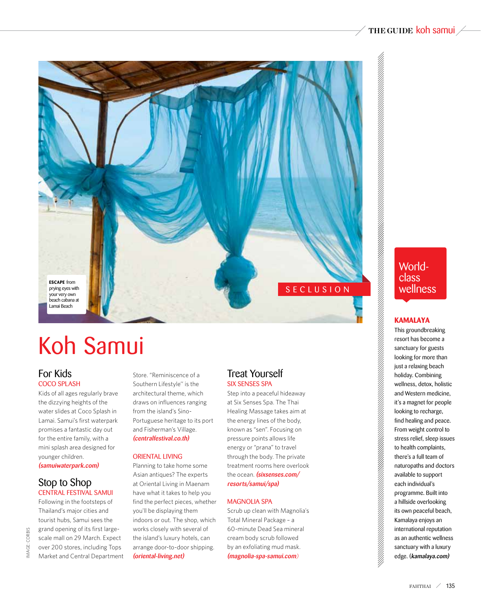

# Koh Samui

## For Kids Coco Splash

Kids of all ages regularly brave the dizzying heights of the water slides at Coco Splash in Lamai. Samui's first waterpark promises a fantastic day out for the entire family, with a mini splash area designed for younger children. (samuiwaterpark.com)

### Stop to Shop Central Festival Samui

Following in the footsteps of Thailand's major cities and tourist hubs, Samui sees the grand opening of its first largescale mall on 29 March. Expect over 200 stores, including Tops Market and Central Department Store. "Reminiscence of a Southern Lifestyle'' is the architectural theme, which draws on influences ranging from the island's Sino-Portuguese heritage to its port and Fisherman's Village. (centralfestival.co.th)

### Oriental Living

Planning to take home some Asian antiques? The experts at Oriental Living in Maenam have what it takes to help you find the perfect pieces, whether you'll be displaying them indoors or out. The shop, which works closely with several of the island's luxury hotels, can arrange door-to-door shipping. (oriental-living.net)

### Treat Yourself Six Senses Spa

Step into a peaceful hideaway at Six Senses Spa. The Thai Healing Massage takes aim at the energy lines of the body, known as "sen". Focusing on pressure points allows life energy or "prana" to travel through the body. The private treatment rooms here overlook the ocean. (sixsenses.com/ resorts/samui/spa)

### magnolia spa

Scrub up clean with Magnolia's Total Mineral Package – a 60-minute Dead Sea mineral cream body scrub followed by an exfoliating mud mask. (magnolia-spa-samui.com)

## Worldclass wellness

### **Kamalaya**

This groundbreaking resort has become a sanctuary for guests looking for more than just a relaxing beach holiday. Combining wellness, detox, holistic and Western medicine, it's a magnet for people looking to recharge, find healing and peace. From weight control to stress relief, sleep issues to health complaints, there's a full team of naturopaths and doctors available to support each individual's programme. Built into a hillside overlooking its own peaceful beach, Kamalaya enjoys an international reputation as an authentic wellness sanctuary with a luxury edge. (kamalaya.com)

CORBIS image: CORBISMAGE: